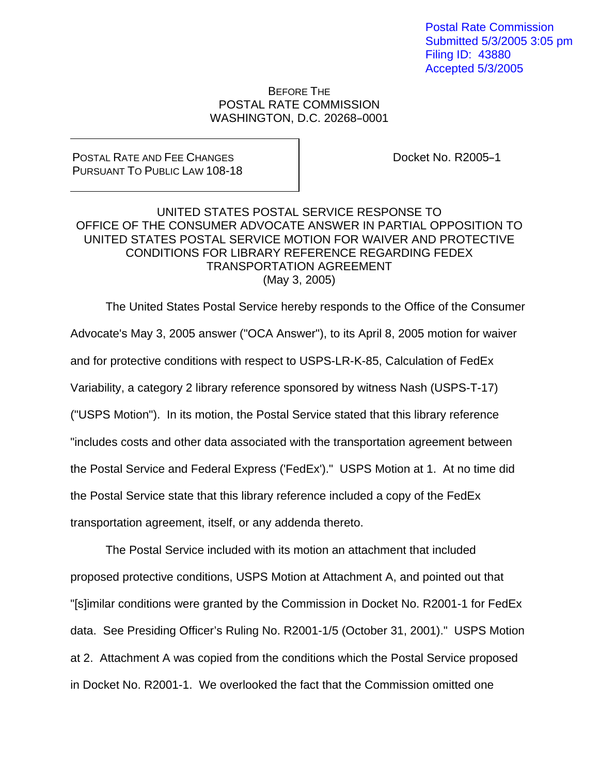Postal Rate Commission Submitted 5/3/2005 3:05 pm Filing ID: 43880 Accepted 5/3/2005

## BEFORE THE POSTAL RATE COMMISSION WASHINGTON, D.C. 20268-0001

## POSTAL RATE AND FEE CHANGES PURSUANT TO PUBLIC LAW 108-18

Docket No. R2005-1

## UNITED STATES POSTAL SERVICE RESPONSE TO OFFICE OF THE CONSUMER ADVOCATE ANSWER IN PARTIAL OPPOSITION TO UNITED STATES POSTAL SERVICE MOTION FOR WAIVER AND PROTECTIVE CONDITIONS FOR LIBRARY REFERENCE REGARDING FEDEX TRANSPORTATION AGREEMENT (May 3, 2005)

 The United States Postal Service hereby responds to the Office of the Consumer Advocate's May 3, 2005 answer ("OCA Answer"), to its April 8, 2005 motion for waiver and for protective conditions with respect to USPS-LR-K-85, Calculation of FedEx Variability, a category 2 library reference sponsored by witness Nash (USPS-T-17) ("USPS Motion"). In its motion, the Postal Service stated that this library reference "includes costs and other data associated with the transportation agreement between the Postal Service and Federal Express ('FedEx')." USPS Motion at 1. At no time did the Postal Service state that this library reference included a copy of the FedEx transportation agreement, itself, or any addenda thereto.

 The Postal Service included with its motion an attachment that included proposed protective conditions, USPS Motion at Attachment A, and pointed out that "[s]imilar conditions were granted by the Commission in Docket No. R2001-1 for FedEx data. See Presiding Officer's Ruling No. R2001-1/5 (October 31, 2001)." USPS Motion at 2. Attachment A was copied from the conditions which the Postal Service proposed in Docket No. R2001-1. We overlooked the fact that the Commission omitted one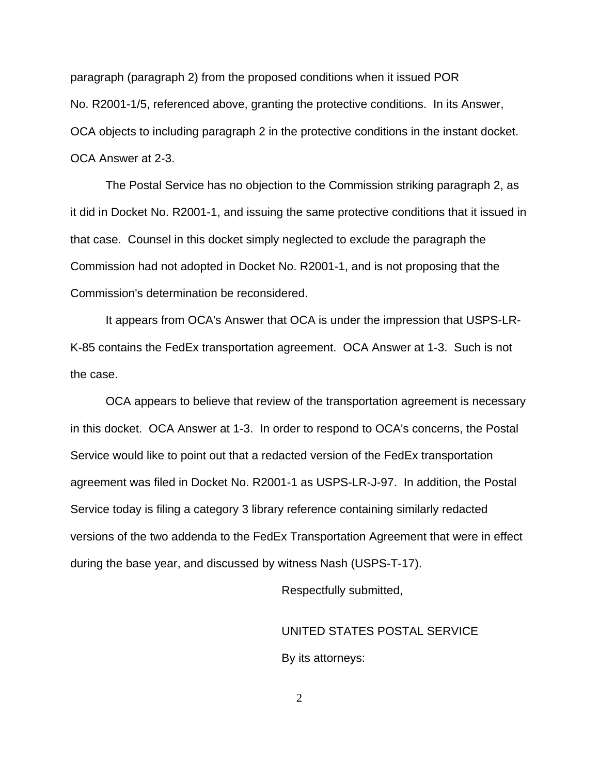paragraph (paragraph 2) from the proposed conditions when it issued POR No. R2001-1/5, referenced above, granting the protective conditions. In its Answer, OCA objects to including paragraph 2 in the protective conditions in the instant docket. OCA Answer at 2-3.

 The Postal Service has no objection to the Commission striking paragraph 2, as it did in Docket No. R2001-1, and issuing the same protective conditions that it issued in that case. Counsel in this docket simply neglected to exclude the paragraph the Commission had not adopted in Docket No. R2001-1, and is not proposing that the Commission's determination be reconsidered.

 It appears from OCA's Answer that OCA is under the impression that USPS-LR-K-85 contains the FedEx transportation agreement. OCA Answer at 1-3. Such is not the case.

 OCA appears to believe that review of the transportation agreement is necessary in this docket. OCA Answer at 1-3. In order to respond to OCA's concerns, the Postal Service would like to point out that a redacted version of the FedEx transportation agreement was filed in Docket No. R2001-1 as USPS-LR-J-97. In addition, the Postal Service today is filing a category 3 library reference containing similarly redacted versions of the two addenda to the FedEx Transportation Agreement that were in effect during the base year, and discussed by witness Nash (USPS-T-17).

Respectfully submitted,

UNITED STATES POSTAL SERVICE

By its attorneys:

2